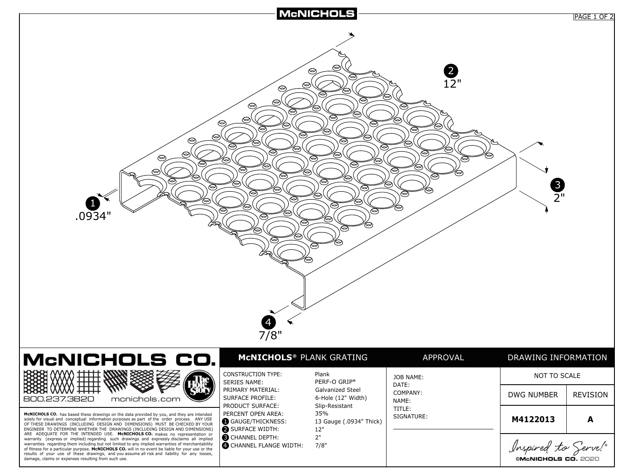

| ©McNICHOLS CO. 202 |  |  |
|--------------------|--|--|